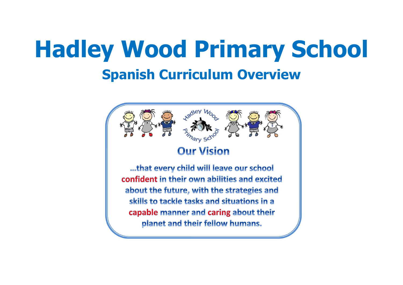# **Hadley Wood Primary School Spanish Curriculum Overview**

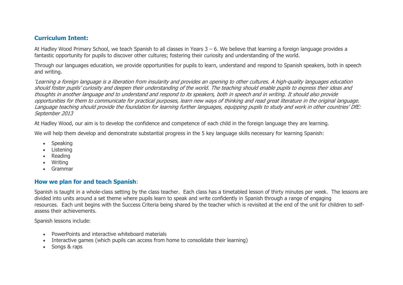#### **Curriculum Intent:**

At Hadley Wood Primary School, we teach Spanish to all classes in Years 3 – 6. We believe that learning a foreign language provides a fantastic opportunity for pupils to discover other cultures; fostering their curiosity and understanding of the world.

Through our languages education, we provide opportunities for pupils to learn, understand and respond to Spanish speakers, both in speech and writing.

'Learning a foreign language is a liberation from insularity and provides an opening to other cultures. A high-quality languages education should foster pupils' curiosity and deepen their understanding of the world. The teaching should enable pupils to express their ideas and thoughts in another language and to understand and respond to its speakers, both in speech and in writing. It should also provide opportunities for them to communicate for practical purposes, learn new ways of thinking and read great literature in the original language. Language teaching should provide the foundation for learning further languages, equipping pupils to study and work in other countries' DfE: September 2013

At Hadley Wood, our aim is to develop the confidence and competence of each child in the foreign language they are learning.

We will help them develop and demonstrate substantial progress in the 5 key language skills necessary for learning Spanish:

- Speaking
- Listening
- Reading
- Writing
- Grammar

#### **How we plan for and teach Spanish**:

Spanish is taught in a whole-class setting by the class teacher. Each class has a timetabled lesson of thirty minutes per week. The lessons are divided into units around a set theme where pupils learn to speak and write confidently in Spanish through a range of engaging resources. Each unit begins with the Success Criteria being shared by the teacher which is revisited at the end of the unit for children to selfassess their achievements.

Spanish lessons include:

- PowerPoints and interactive whiteboard materials
- Interactive games (which pupils can access from home to consolidate their learning)
- Songs & raps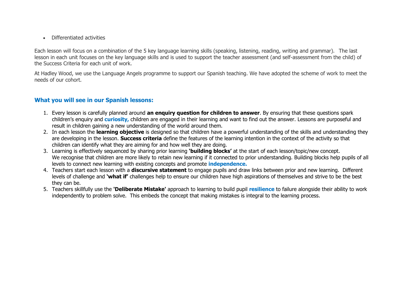Differentiated activities

Each lesson will focus on a combination of the 5 key language learning skills (speaking, listening, reading, writing and grammar).  The last lesson in each unit focuses on the key language skills and is used to support the teacher assessment (and self-assessment from the child) of the Success Criteria for each unit of work.

At Hadley Wood, we use the Language Angels programme to support our Spanish teaching. We have adopted the scheme of work to meet the needs of our cohort.

#### **What you will see in our Spanish lessons:**

- 1. Every lesson is carefully planned around **an enquiry question for children to answer**. By ensuring that these questions spark children's enquiry and **curiosity,** children are engaged in their learning and want to find out the answer. Lessons are purposeful and result in children gaining a new understanding of the world around them.
- 2. In each lesson the **learning objective** is designed so that children have a powerful understanding of the skills and understanding they are developing in the lesson. **Success criteria** define the features of the learning intention in the context of the activity so that children can identify what they are aiming for and how well they are doing.
- 3. Learning is effectively sequenced by sharing prior learning **'building blocks'** at the start of each lesson/topic/new concept. We recognise that children are more likely to retain new learning if it connected to prior understanding. Building blocks help pupils of all levels to connect new learning with existing concepts and promote **independence.**
- 4. Teachers start each lesson with a **discursive statement** to engage pupils and draw links between prior and new learning. Different levels of challenge and **'what if'** challenges help to ensure our children have high aspirations of themselves and strive to be the best they can be.
- 5. Teachers skillfully use the **'Deliberate Mistake'** approach to learning to build pupil **resilience** to failure alongside their ability to work independently to problem solve. This embeds the concept that making mistakes is integral to the learning process.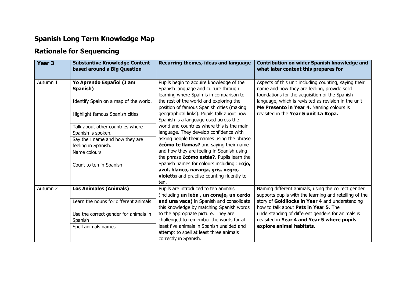## **Spanish Long Term Knowledge Map**

## **Rationale for Sequencing**

| Year <sub>3</sub> | <b>Substantive Knowledge Content</b><br>based around a Big Question           | Recurring themes, ideas and language                                                                                                                                    | <b>Contribution on wider Spanish knowledge and</b><br>what later content this prepares for                                                                                                                      |  |  |
|-------------------|-------------------------------------------------------------------------------|-------------------------------------------------------------------------------------------------------------------------------------------------------------------------|-----------------------------------------------------------------------------------------------------------------------------------------------------------------------------------------------------------------|--|--|
| Autumn 1          | Yo Aprendo Español (I am<br>Spanish)<br>Identify Spain on a map of the world. | Pupils begin to acquire knowledge of the<br>Spanish language and culture through<br>learning where Spain is in comparison to<br>the rest of the world and exploring the | Aspects of this unit including counting, saying their<br>name and how they are feeling, provide solid<br>foundations for the acquisition of the Spanish<br>language, which is revisited as revision in the unit |  |  |
|                   | Highlight famous Spanish cities                                               | position of famous Spanish cities (making<br>geographical links). Pupils talk about how<br>Spanish is a language used across the                                        | Me Presento in Year 4. Naming colours is<br>revisited in the Year 5 unit La Ropa.                                                                                                                               |  |  |
|                   | Talk about other countries where<br>Spanish is spoken.                        | world and countries where this is the main<br>language. They develop confidence with                                                                                    |                                                                                                                                                                                                                 |  |  |
|                   | Say their name and how they are<br>feeling in Spanish.                        | asking people their names using the phrase<br><i>icómo te llamas?</i> and saying their name                                                                             |                                                                                                                                                                                                                 |  |  |
|                   | Name colours                                                                  | and how they are feeling in Spanish using<br>the phrase <i>icómo estás?</i> . Pupils learn the                                                                          |                                                                                                                                                                                                                 |  |  |
|                   | Count to ten in Spanish                                                       | Spanish names for colours including: rojo,<br>azul, blanco, naranja, gris, negro,<br>violetta and practise counting fluently to<br>ten.                                 |                                                                                                                                                                                                                 |  |  |
| Autumn 2          | <b>Los Animales (Animals)</b>                                                 | Pupils are introduced to ten animals<br>(including un león, un conejo, un cerdo                                                                                         | Naming different animals, using the correct gender<br>supports pupils with the learning and retelling of the                                                                                                    |  |  |
|                   | Learn the nouns for different animals                                         | and una vaca) in Spanish and consolidate<br>this knowledge by matching Spanish words                                                                                    | story of Goldilocks in Year 4 and understanding<br>how to talk about Pets in Year 5. The                                                                                                                        |  |  |
|                   | Use the correct gender for animals in                                         | to the appropriate picture. They are                                                                                                                                    | understanding of different genders for animals is                                                                                                                                                               |  |  |
|                   | Spanish                                                                       | challenged to remember the words for at                                                                                                                                 | revisited in Year 4 and Year 5 where pupils                                                                                                                                                                     |  |  |
|                   | Spell animals names                                                           | least five animals in Spanish unaided and<br>attempt to spell at least three animals<br>correctly in Spanish.                                                           | explore animal habitats.                                                                                                                                                                                        |  |  |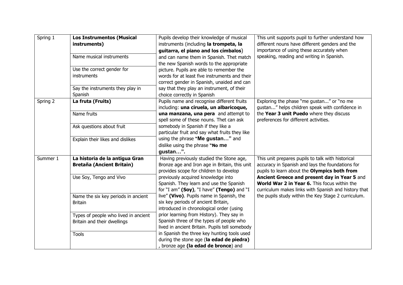| Spring 1 | <b>Los Instrumentos (Musical</b><br>instruments)<br>Name musical instruments<br>Use the correct gender for<br>instruments<br>Say the instruments they play in | Pupils develop their knowledge of musical<br>instruments (including la trompeta, la<br>guitarra, el piano and los címbalos)<br>and can name them in Spanish. Thet match<br>the new Spanish words to the appropriate<br>picture. Pupils are able to remember the<br>words for at least five instruments and their<br>correct gender in Spanish, unaided and can<br>say that they play an instrument, of their | This unit supports pupil to further understand how<br>different nouns have different genders and the<br>importance of using these accurately when<br>speaking, reading and writing in Spanish. |
|----------|---------------------------------------------------------------------------------------------------------------------------------------------------------------|--------------------------------------------------------------------------------------------------------------------------------------------------------------------------------------------------------------------------------------------------------------------------------------------------------------------------------------------------------------------------------------------------------------|------------------------------------------------------------------------------------------------------------------------------------------------------------------------------------------------|
|          | Spanish                                                                                                                                                       | choice correctly in Spanish                                                                                                                                                                                                                                                                                                                                                                                  |                                                                                                                                                                                                |
| Spring 2 | La fruta (Fruits)                                                                                                                                             | Pupils name and recognise different fruits<br>including: una ciruela, un albaricoque,                                                                                                                                                                                                                                                                                                                        | Exploring the phase "me gustan" or "no me<br>gustan" helps children speak with confidence in                                                                                                   |
|          | Name fruits                                                                                                                                                   | una manzana, una pera and attempt to<br>spell some of these nouns. Thet can ask                                                                                                                                                                                                                                                                                                                              | the Year 3 unit Puedo where they discuss<br>preferences for different activities.                                                                                                              |
|          | Ask questions about fruit                                                                                                                                     | somebody in Spanish if they like a<br>particular fruit and say what fruits they like                                                                                                                                                                                                                                                                                                                         |                                                                                                                                                                                                |
|          | Explain their likes and dislikes                                                                                                                              | using the phrase "Me gustan" and<br>dislike using the phrase "No me<br>gustan".                                                                                                                                                                                                                                                                                                                              |                                                                                                                                                                                                |
| Summer 1 | La historia de la antigua Gran                                                                                                                                | Having previously studied the Stone age,                                                                                                                                                                                                                                                                                                                                                                     | This unit prepares pupils to talk with historical                                                                                                                                              |
|          | <b>Bretaña (Ancient Britain)</b>                                                                                                                              | Bronze age and Iron age in Britain, this unit<br>provides scope for children to develop                                                                                                                                                                                                                                                                                                                      | accuracy in Spanish and lays the foundations for<br>pupils to learn about the Olympics both from                                                                                               |
|          | Use Soy, Tengo and Vivo                                                                                                                                       | previously acquired knowledge into<br>Spanish. They learn and use the Spanish<br>for "I am" (Soy), "I have" (Tengo) and "I                                                                                                                                                                                                                                                                                   | Ancient Greece and present day in Year 5 and<br>World War 2 in Year 6. This focus within the<br>curriculum makes links with Spanish and history that                                           |
|          | Name the six key periods in ancient<br><b>Britain</b>                                                                                                         | live" (Vivo). Pupils name in Spanish, the<br>six key periods of ancient Britain,<br>introduced in chronological order (using                                                                                                                                                                                                                                                                                 | the pupils study within the Key Stage 2 curriculum.                                                                                                                                            |
|          | Types of people who lived in ancient<br>Britain and their dwellings                                                                                           | prior learning from History). They say in<br>Spanish three of the types of people who<br>lived in ancient Britain. Pupils tell somebody                                                                                                                                                                                                                                                                      |                                                                                                                                                                                                |
|          | <b>Tools</b>                                                                                                                                                  | in Spanish the three key hunting tools used<br>during the stone age (la edad de piedra)<br>bronze age (la edad de bronce) and                                                                                                                                                                                                                                                                                |                                                                                                                                                                                                |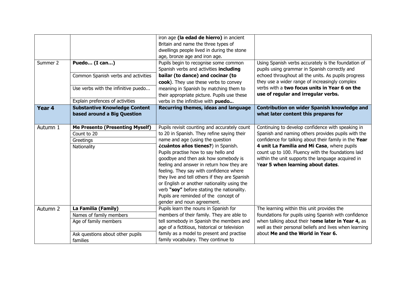| Summer 2          | Puedo (I can)<br>Common Spanish verbs and activities<br>Use verbs with the infinitive puedo<br>Explain prefences of activities | iron age (la edad de hierro) in ancient<br>Britain and name the three types of<br>dwellings people lived in during the stone<br>age, bronze age and iron age.<br>Pupils begin to recognise some common<br>Spanish verbs and activities including<br>bailar (to dance) and cocinar (to<br>cook). They use these verbs to convey<br>meaning in Spanish by matching them to<br>their appropriate picture. Pupils use these<br>verbs in the infinitive with puedo                                                                                                     | Using Spanish verbs accurately is the foundation of<br>pupils using grammar in Spanish correctly and<br>echoed throughout all the units. As pupils progress<br>they use a wider range of increasingly complex<br>verbs with a two focus units in Year 6 on the<br>use of regular and irregular verbs.                                                           |  |  |
|-------------------|--------------------------------------------------------------------------------------------------------------------------------|-------------------------------------------------------------------------------------------------------------------------------------------------------------------------------------------------------------------------------------------------------------------------------------------------------------------------------------------------------------------------------------------------------------------------------------------------------------------------------------------------------------------------------------------------------------------|-----------------------------------------------------------------------------------------------------------------------------------------------------------------------------------------------------------------------------------------------------------------------------------------------------------------------------------------------------------------|--|--|
| Year <sub>4</sub> | <b>Substantive Knowledge Content</b><br>based around a Big Question                                                            | Recurring themes, ideas and language                                                                                                                                                                                                                                                                                                                                                                                                                                                                                                                              | <b>Contribution on wider Spanish knowledge and</b><br>what later content this prepares for                                                                                                                                                                                                                                                                      |  |  |
| Autumn 1          | <b>Me Presento (Presenting Myself)</b><br>Count to 20<br>Greetings<br>Nationality                                              | Pupils revisit counting and accurately count<br>to 20 in Spanish. They refine saying their<br>name and age (using the question<br>¿cuántos años tienes?) in Spanish.<br>Pupils practise how to say hello and<br>goodbye and then ask how somebody is<br>feeling and answer in return how they are<br>feeling. They say with confidence where<br>they live and tell others if they are Spanish<br>or English or another nationality using the<br>verb "soy" before stating the nationality.<br>Pupils are reminded of the concept of<br>gender and noun agreement. | Continuing to develop confidence with speaking in<br>Spanish and naming others provides pupils with the<br>confidence for talking about their family in the Year<br>4 unit La Familia and Mi Casa, where pupils<br>count up to 100. Fluency with the foundations laid<br>within the unit supports the language acquired in<br>Year 5 when learning about dates. |  |  |
| Autumn 2          | La Familia (Family)<br>Names of family members<br>Age of family members<br>Ask questions about other pupils<br>families        | Pupils learn the nouns in Spanish for<br>members of their family. They are able to<br>tell somebody in Spanish the members and<br>age of a fictitious, historical or television<br>family as a model to present and practise<br>family vocabulary. They continue to                                                                                                                                                                                                                                                                                               | The learning within this unit provides the<br>foundations for pupils using Spanish with confidence<br>when talking about their home later in Year 4, as<br>well as their personal beliefs and lives when learning<br>about Me and the World in Year 6.                                                                                                          |  |  |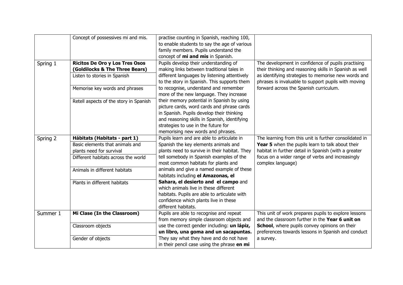|          | Concept of possessives mi and mis.                                                                                                                                                                  | practise counting in Spanish, reaching 100,<br>to enable students to say the age of various<br>family members. Pupils understand the<br>concept of mi and mis in Spanish.                                                                                                                                                                                                                                                                                                                                                                       |                                                                                                                                                                                                                                                                      |
|----------|-----------------------------------------------------------------------------------------------------------------------------------------------------------------------------------------------------|-------------------------------------------------------------------------------------------------------------------------------------------------------------------------------------------------------------------------------------------------------------------------------------------------------------------------------------------------------------------------------------------------------------------------------------------------------------------------------------------------------------------------------------------------|----------------------------------------------------------------------------------------------------------------------------------------------------------------------------------------------------------------------------------------------------------------------|
| Spring 1 | <b>Ricitos De Oro y Los Tres Osos</b><br>(Goldilocks & The Three Bears)<br>Listen to stories in Spanish<br>Memorise key words and phrases<br>Retell aspects of the story in Spanish                 | Pupils develop their understanding of<br>making links between traditional tales in<br>different languages by listening attentively<br>to the story in Spanish. This supports them<br>to recognise, understand and remember<br>more of the new language. They increase<br>their memory potential in Spanish by using<br>picture cards, word cards and phrase cards<br>in Spanish. Pupils develop their thinking<br>and reasoning skills in Spanish, identifying<br>strategies to use in the future for                                           | The development in confidence of pupils practising<br>their thinking and reasoning skills in Spanish as well<br>as identifying strategies to memorise new words and<br>phrases is invaluable to support pupils with moving<br>forward across the Spanish curriculum. |
| Spring 2 | Hábitats (Habitats - part 1)<br>Basic elements that animals and<br>plants need for survival<br>Different habitats across the world<br>Animals in different habitats<br>Plants in different habitats | memorising new words and phrases.<br>Pupils learn and are able to articulate in<br>Spanish the key elements animals and<br>plants need to survive in their habitat. They<br>tell somebody in Spanish examples of the<br>most common habitats for plants and<br>animals and give a named example of these<br>habitats including el Amazonas, el<br>Sahara, el desierto and el campo and<br>which animals live in these different<br>habitats. Pupils are able to articulate with<br>confidence which plants live in these<br>different habitats. | The learning from this unit is further consolidated in<br>Year 5 when the pupils learn to talk about their<br>habitat in further detail in Spanish (with a greater<br>focus on a wider range of verbs and increasingly<br>complex language)                          |
| Summer 1 | Mi Clase (In the Classroom)<br>Classroom objects<br>Gender of objects                                                                                                                               | Pupils are able to recognise and repeat<br>from memory simple classroom objects and<br>use the correct gender including: un lápiz,<br>un libro, una goma and un sacapuntas.<br>They say what they have and do not have                                                                                                                                                                                                                                                                                                                          | This unit of work prepares pupils to explore lessons<br>and the classroom further in the Year 6 unit on<br>School, where pupils convey opinions on their<br>preferences towards lessons in Spanish and conduct<br>a survey.                                          |
|          |                                                                                                                                                                                                     | in their pencil case using the phrase en mi                                                                                                                                                                                                                                                                                                                                                                                                                                                                                                     |                                                                                                                                                                                                                                                                      |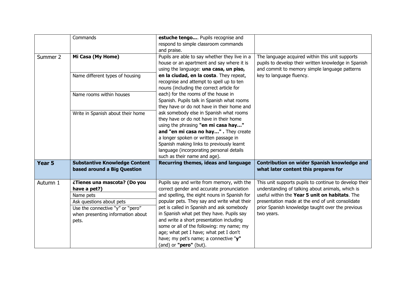|          | Commands                                                                                                                                                                | estuche tengo Pupils recognise and<br>respond to simple classroom commands<br>and praise.                                                                                                                                                                                                                                                                                                                                                                                              |                                                                                                                                                                                                                                                                                    |  |  |
|----------|-------------------------------------------------------------------------------------------------------------------------------------------------------------------------|----------------------------------------------------------------------------------------------------------------------------------------------------------------------------------------------------------------------------------------------------------------------------------------------------------------------------------------------------------------------------------------------------------------------------------------------------------------------------------------|------------------------------------------------------------------------------------------------------------------------------------------------------------------------------------------------------------------------------------------------------------------------------------|--|--|
| Summer 2 | Mi Casa (My Home)                                                                                                                                                       | Pupils are able to say whether they live in a<br>house or an apartment and say where it is<br>using the language: una casa, un piso,                                                                                                                                                                                                                                                                                                                                                   | The language acquired within this unit supports<br>pupils to develop their written knowledge in Spanish<br>and commit to memory simple language patterns<br>key to language fluency.                                                                                               |  |  |
|          | Name different types of housing                                                                                                                                         | en la ciudad, en la costa. They repeat,<br>recognise and attempt to spell up to ten<br>nouns (including the correct article for                                                                                                                                                                                                                                                                                                                                                        |                                                                                                                                                                                                                                                                                    |  |  |
|          | Name rooms within houses                                                                                                                                                | each) for the rooms of the house in<br>Spanish. Pupils talk in Spanish what rooms<br>they have or do not have in their home and                                                                                                                                                                                                                                                                                                                                                        |                                                                                                                                                                                                                                                                                    |  |  |
|          | Write in Spanish about their home                                                                                                                                       | ask somebody else in Spanish what rooms<br>they have or do not have in their home<br>using the phrasing "en mi casa hay"<br>and "en mi casa no hay" . They create<br>a longer spoken or written passage in<br>Spanish making links to previously learnt<br>language (incorporating personal details<br>such as their name and age).                                                                                                                                                    |                                                                                                                                                                                                                                                                                    |  |  |
| Year 5   | <b>Substantive Knowledge Content</b><br>based around a Big Question                                                                                                     | Recurring themes, ideas and language                                                                                                                                                                                                                                                                                                                                                                                                                                                   | Contribution on wider Spanish knowledge and<br>what later content this prepares for                                                                                                                                                                                                |  |  |
| Autumn 1 | ¿Tienes una mascota? (Do you<br>have a pet?)<br>Name pets<br>Ask questions about pets<br>Use the connective "y" or "pero"<br>when presenting information about<br>pets. | Pupils say and write from memory, with the<br>correct gender and accurate pronunciation<br>and spelling, the eight nouns in Spanish for<br>popular pets. They say and write what their<br>pet is called in Spanish and ask somebody<br>in Spanish what pet they have. Pupils say<br>and write a short presentation including<br>some or all of the following: my name; my<br>age; what pet I have; what pet I don't<br>have; my pet's name; a connective "y"<br>(and) or "pero" (but). | This unit supports pupils to continue to develop their<br>understanding of talking about animals, which is<br>useful within the Year 5 unit on habitats. The<br>presentation made at the end of unit consolidate<br>prior Spanish knowledge taught over the previous<br>two years. |  |  |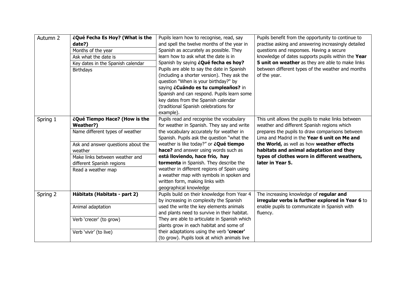| Autumn 2 | ¿Qué Fecha Es Hoy? (What is the<br>date?)<br>Months of the year<br>Ask what the date is<br>Key dates in the Spanish calendar<br><b>Birthdays</b>                                                                    | Pupils learn how to recognise, read, say<br>and spell the twelve months of the year in<br>Spanish as accurately as possible. They<br>learn how to ask what the date is in<br>Spanish by saying <i>iQué fecha es hoy?</i><br>Pupils are able to say the date in Spanish                                                                                                                                                                                                                                        | Pupils benefit from the opportunity to continue to<br>practise asking and answering increasingly detailed<br>questions and responses. Having a secure<br>knowledge of dates supports pupils within the Year<br>5 unit on weather as they are able to make links<br>between different types of the weather and months                                            |
|----------|---------------------------------------------------------------------------------------------------------------------------------------------------------------------------------------------------------------------|---------------------------------------------------------------------------------------------------------------------------------------------------------------------------------------------------------------------------------------------------------------------------------------------------------------------------------------------------------------------------------------------------------------------------------------------------------------------------------------------------------------|-----------------------------------------------------------------------------------------------------------------------------------------------------------------------------------------------------------------------------------------------------------------------------------------------------------------------------------------------------------------|
|          |                                                                                                                                                                                                                     | (including a shorter version). They ask the<br>question "When is your birthday?" by<br>saying ¿Cuándo es tu cumpleaños? in<br>Spanish and can respond. Pupils learn some<br>key dates from the Spanish calendar<br>(traditional Spanish celebrations for<br>example).                                                                                                                                                                                                                                         | of the year.                                                                                                                                                                                                                                                                                                                                                    |
| Spring 1 | ¿Qué Tiempo Hace? (How is the<br>Weather?)<br>Name different types of weather<br>Ask and answer questions about the<br>weather<br>Make links between weather and<br>different Spanish regions<br>Read a weather map | Pupils read and recognise the vocabulary<br>for weather in Spanish. They say and write<br>the vocabulary accurately for weather in<br>Spanish. Pupils ask the question "what the<br>weather is like today?" or <b>¿Qué tiempo</b><br>hace? and answer using words such as<br>está lloviendo, hace frío, hay<br>tormenta in Spanish. They describe the<br>weather in different regions of Spain using<br>a weather map with symbols in spoken and<br>written form, making links with<br>geographical knowledge | This unit allows the pupils to make links between<br>weather and different Spanish regions which<br>prepares the pupils to draw comparisons between<br>Lima and Madrid in the Year 6 unit on Me and<br>the World, as well as how weather effects<br>habitats and animal adaptation and they<br>types of clothes worn in different weathers,<br>later in Year 5. |
| Spring 2 | Hábitats (Habitats - part 2)<br>Animal adaptation                                                                                                                                                                   | Pupils build on their knowledge from Year 4<br>by increasing in complexity the Spanish<br>used the write the key elements animals<br>and plants need to survive in their habitat.                                                                                                                                                                                                                                                                                                                             | The increasing knowledge of regular and<br>irregular verbs is further explored in Year 6 to<br>enable pupils to communicate in Spanish with<br>fluency.                                                                                                                                                                                                         |
|          | Verb 'crecer' (to grow)<br>Verb 'vivir' (to live)                                                                                                                                                                   | They are able to articulate in Spanish which<br>plants grow in each habitat and some of<br>their adaptations using the verb 'crecer'<br>(to grow). Pupils look at which animals live                                                                                                                                                                                                                                                                                                                          |                                                                                                                                                                                                                                                                                                                                                                 |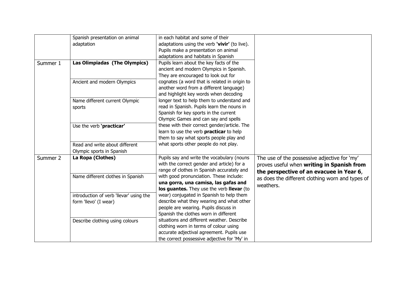|          | Spanish presentation on animal<br>adaptation | in each habitat and some of their<br>adaptations using the verb 'vivir' (to live). |                                                  |
|----------|----------------------------------------------|------------------------------------------------------------------------------------|--------------------------------------------------|
|          |                                              | Pupils make a presentation on animal                                               |                                                  |
|          |                                              | adaptations and habitats in Spanish                                                |                                                  |
| Summer 1 | Las Olimpiadas (The Olympics)                | Pupils learn about the key facts of the                                            |                                                  |
|          |                                              | ancient and modern Olympics in Spanish.                                            |                                                  |
|          |                                              | They are encouraged to look out for                                                |                                                  |
|          | Ancient and modern Olympics                  | cognates (a word that is related in origin to                                      |                                                  |
|          |                                              | another word from a different language)                                            |                                                  |
|          |                                              | and highlight key words when decoding                                              |                                                  |
|          |                                              | longer text to help them to understand and                                         |                                                  |
|          | Name different current Olympic<br>sports     | read in Spanish. Pupils learn the nouns in                                         |                                                  |
|          |                                              | Spanish for key sports in the current                                              |                                                  |
|          |                                              | Olympic Games and can say and spells                                               |                                                  |
|          | Use the verb 'practicar'                     | these with their correct gender/article. The                                       |                                                  |
|          |                                              | learn to use the verb practicar to help                                            |                                                  |
|          |                                              | them to say what sports people play and                                            |                                                  |
|          | Read and write about different               | what sports other people do not play.                                              |                                                  |
|          | Olympic sports in Spanish                    |                                                                                    |                                                  |
| Summer 2 | La Ropa (Clothes)                            | Pupils say and write the vocabulary (nouns                                         | The use of the possessive adjective for 'my'     |
|          |                                              | with the correct gender and article) for a                                         |                                                  |
|          |                                              | range of clothes in Spanish accurately and                                         | proves useful when writing in Spanish from       |
|          | Name different clothes in Spanish            | with good pronunciation. These include:                                            | the perspective of an evacuee in Year 6,         |
|          |                                              | una gorra, una camisa, las gafas and                                               | as does the different clothing worn and types of |
|          |                                              | los guantes. They use the verb llevar (to                                          | weathers.                                        |
|          | introduction of verb 'llevar' using the      | wear) conjugated in Spanish to help them                                           |                                                  |
|          | form 'llevo' (I wear)                        | describe what they wearing and what other                                          |                                                  |
|          |                                              | people are wearing. Pupils discuss in                                              |                                                  |
|          |                                              | Spanish the clothes worn in different                                              |                                                  |
|          | Describe clothing using colours              | situations and different weather. Describe                                         |                                                  |
|          |                                              | clothing worn in terms of colour using                                             |                                                  |
|          |                                              | accurate adjectival agreement. Pupils use                                          |                                                  |
|          |                                              | the correct possessive adjective for 'My' in                                       |                                                  |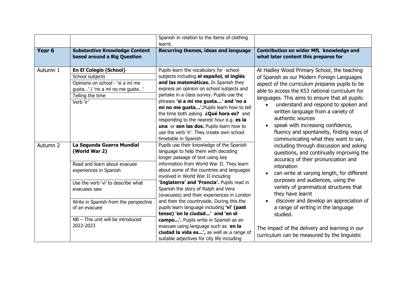|                     |                                                                                                                                                            | Spanish in relation to the items of clothing<br>learnt.                                                                                                                                                                                                                                                                                                                                                                                                                                                                                                                                                                                                                                             |                                                                                                                                                                                                                                                                                                                                                                                                                                                                              |  |  |  |
|---------------------|------------------------------------------------------------------------------------------------------------------------------------------------------------|-----------------------------------------------------------------------------------------------------------------------------------------------------------------------------------------------------------------------------------------------------------------------------------------------------------------------------------------------------------------------------------------------------------------------------------------------------------------------------------------------------------------------------------------------------------------------------------------------------------------------------------------------------------------------------------------------------|------------------------------------------------------------------------------------------------------------------------------------------------------------------------------------------------------------------------------------------------------------------------------------------------------------------------------------------------------------------------------------------------------------------------------------------------------------------------------|--|--|--|
| Year <sub>6</sub>   | <b>Substantive Knowledge Content</b><br>based around a Big Question                                                                                        | Recurring themes, ideas and language                                                                                                                                                                                                                                                                                                                                                                                                                                                                                                                                                                                                                                                                | Contribution on wider MfL knowledge and<br>what later content this prepares for                                                                                                                                                                                                                                                                                                                                                                                              |  |  |  |
| Autumn 1            | <b>En El Colegio (School)</b><br>School subjects<br>Opinions on school - 'si a mí me<br>gusta' / 'no a mí no me gusta'<br>Telling the time<br>Verb 'ir'    | Pupils learn the vocabulary for school<br>subjects including el español, el inglés<br>and las matemáticas. In Spanish they<br>express an opinion on school subjects and<br>partake in a class survey. Pupils use the<br>phrases 'si a mí me gusta' and 'no a<br>mí no me gusta'.Pupils learn how to tell<br>the time both asking <i>iQué hora es?</i> and<br>responding to the nearest hour e.g. es la<br>una or son las dos. Pupils learn how to<br>use the verb 'ir'. They create own school<br>timetable in Spanish                                                                                                                                                                              | At Hadley Wood Primary School, the teaching<br>of Spanish as our Modern Foreign Languages<br>aspect of the curriculum prepares pupils to be<br>able to access the KS3 national curriculum for<br>languages. This aims to ensure that all pupils:<br>understand and respond to spoken and<br>written language from a variety of<br>authentic sources<br>speak with increasing confidence,<br>fluency and spontaneity, finding ways of<br>communicating what they want to say, |  |  |  |
| Autumn <sub>2</sub> | La Segunda Guerra Mundial<br>(World War 2)<br>Read and learn about evacuee<br>experiences in Spanish<br>Use the verb 'vi' to describe what<br>evacuees saw | Pupils use their knowledge of the Spanish<br>language to help them with decoding<br>longer passage of text using key<br>information from World War II. They learn<br>about some of the countries and languages<br>involved in World War II including<br>'Inglaterra' and 'Francia'. Pupils read in<br>Spanish the story of Ralph and Vera<br>(evacuees) and their experiences in London<br>and then the countryside. During this the<br>pupils learn language including 'vi' (past<br>tense) 'en la ciudad' and 'en el<br>campo'. Pupils write in Spanish as an<br>evacuee using language such as en la<br>ciudad la vida es', as well as a range of<br>suitable adjectives for city life including | including through discussion and asking<br>questions, and continually improving the<br>accuracy of their pronunciation and<br>intonation<br>can write at varying length, for different<br>purposes and audiences, using the<br>variety of grammatical structures that<br>they have learnt                                                                                                                                                                                    |  |  |  |
|                     | Write in Spanish from the perspective<br>of an evacuee<br>$NB - This$ unit will be introduced<br>2022-2023                                                 |                                                                                                                                                                                                                                                                                                                                                                                                                                                                                                                                                                                                                                                                                                     | discover and develop an appreciation of<br>a range of writing in the language<br>studied.<br>The impact of the delivery and learning in our<br>curriculum can be measured by the linguistic                                                                                                                                                                                                                                                                                  |  |  |  |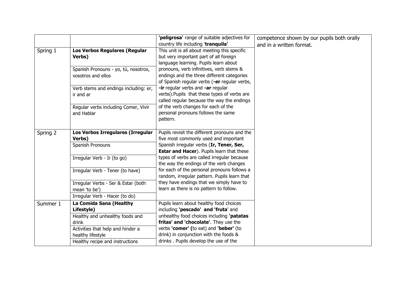|          |                                       | 'peligrosa' range of suitable adjectives for  | competence shown by our pupils both orally |
|----------|---------------------------------------|-----------------------------------------------|--------------------------------------------|
|          |                                       | country life including 'tranquila'            | and in a written format.                   |
| Spring 1 | Los Verbos Regulares (Regular         | This unit is all about meeting this specific  |                                            |
|          | Verbs)                                | but very important part of all foreign        |                                            |
|          |                                       | language learning. Pupils learn about         |                                            |
|          | Spanish Pronouns - yo, tú, nosotros,  | pronouns, verb infinitives, verb stems &      |                                            |
|          | vosotros and ellos                    | endings and the three different categories    |                                            |
|          |                                       | of Spanish regular verbs (-er regular verbs,  |                                            |
|          | Verb stems and endings including: er, | -ir regular verbs and -ar regular             |                                            |
|          | ir and ar                             | verbs). Pupils that these types of verbs are  |                                            |
|          |                                       | called regular because the way the endings    |                                            |
|          | Regular verbs including Comer, Vivir  | of the verb changes for each of the           |                                            |
|          | and Hablar                            | personal pronouns follows the same            |                                            |
|          |                                       | pattern.                                      |                                            |
|          |                                       |                                               |                                            |
| Spring 2 | Los Verbos Irregulares (Irregular     | Pupils revisit the different pronouns and the |                                            |
|          | Verbs)                                | five most commonly used and important         |                                            |
|          | Spanish Pronouns                      | Spanish irregular verbs (Ir, Tener, Ser,      |                                            |
|          |                                       | Estar and Hacer). Pupils learn that these     |                                            |
|          | Irregular Verb - Ir (to go)           | types of verbs are called irregular because   |                                            |
|          |                                       | the way the endings of the verb changes       |                                            |
|          | Irregular Verb - Tener (to have)      | for each of the personal pronouns follows a   |                                            |
|          |                                       | random, irregular pattern. Pupils learn that  |                                            |
|          | Irregular Verbs - Ser & Estar (both   | they have endings that we simply have to      |                                            |
|          | mean 'to be')                         | learn as there is no pattern to follow.       |                                            |
|          | Irregular Verb - Hacer (to do)        |                                               |                                            |
| Summer 1 | La Comida Sana (Healthy               | Pupils learn about healthy food choices       |                                            |
|          | Lifestyle)                            | including 'pescado' and 'fruta' and           |                                            |
|          | Healthy and unhealthy foods and       | unhealthy food choices including 'patatas     |                                            |
|          | drink                                 | fritas' and 'chocolate'. They use the         |                                            |
|          | Activities that help and hinder a     | verbs 'comer' (to eat) and 'beber' (to        |                                            |
|          | healthy lifestyle                     | drink) in conjunction with the foods &        |                                            |
|          | Healthy recipe and instructions       | drinks. Pupils develop the use of the         |                                            |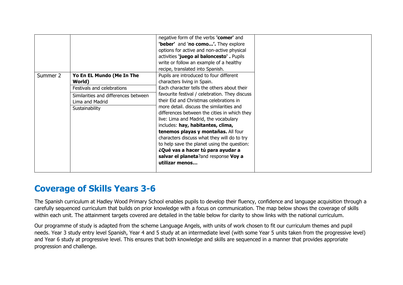|          |                                      | negative form of the verbs 'comer' and<br>'beber' and 'no como'. They explore |
|----------|--------------------------------------|-------------------------------------------------------------------------------|
|          |                                      | options for active and non-active physical                                    |
|          |                                      | activities 'juego al baloncesto'. Pupils                                      |
|          |                                      | write or follow an example of a healthy                                       |
|          |                                      | recipe, translated into Spanish.                                              |
| Summer 2 | Yo En EL Mundo (Me In The            | Pupils are introduced to four different                                       |
|          | World)                               | characters living in Spain.                                                   |
|          | Festivals and celebrations           | Each character tells the others about their                                   |
|          | Similarities and differences between | favourite festival / celebration. They discuss                                |
|          | Lima and Madrid                      | their Eid and Christmas celebrations in                                       |
|          | Sustainability                       | more detail. discuss the similarities and                                     |
|          |                                      | differences between the cities in which they                                  |
|          |                                      | live: Lima and Madrid, the vocabulary                                         |
|          |                                      | includes: hay, habitantes, clima,                                             |
|          |                                      | tenemos playas y montañas. All four                                           |
|          |                                      | characters discuss what they will do to try                                   |
|          |                                      | to help save the planet using the question:                                   |
|          |                                      | ¿Qué vas a hacer tú para ayudar a                                             |
|          |                                      | salvar el planeta?and response Voy a<br>utilizar menos                        |
|          |                                      |                                                                               |
|          |                                      |                                                                               |

## **Coverage of Skills Years 3-6**

The Spanish curriculum at Hadley Wood Primary School enables pupils to develop their fluency, confidence and language acquisition through a carefully sequenced curriculum that builds on prior knowledge with a focus on communication. The map below shows the coverage of skills within each unit. The attainment targets covered are detailed in the table below for clarity to show links with the national curriculum.

Our programme of study is adapted from the scheme Language Angels, with units of work chosen to fit our curriculum themes and pupil needs. Year 3 study entry level Spanish, Year 4 and 5 study at an intermediate level (with some Year 5 units taken from the progressive level) and Year 6 study at progressive level. This ensures that both knowledge and skills are sequenced in a manner that provides approriate progression and challenge.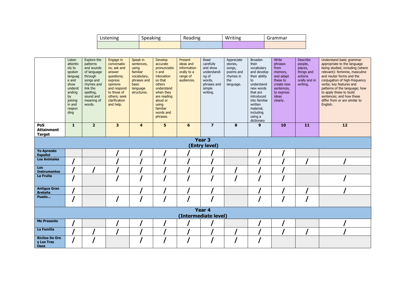| Listening | Speaking |  | Writing | Grammar |  |
|-----------|----------|--|---------|---------|--|
|           |          |  |         |         |  |

|                                                    | Listen<br>attentiv<br>ely to<br>spoken<br>languag<br>e and<br>show<br>underst<br>anding<br>by<br>joining<br>in and<br>respon | Explore the<br>patterns<br>and sounds<br>of language<br>through<br>songs and<br>rhymes and<br>link the<br>spelling,<br>sound and<br>meaning of<br>words. | Engage in<br>conversatio<br>ns; ask and<br>answer<br>questions;<br>express<br>opinions<br>and respond<br>to those of<br>others; seek<br>clarification<br>and help. | Speak in<br>sentences,<br>using<br>familiar<br>vocabulary,<br>phrases and<br>basic<br>language<br>structures. | Develop<br>accurate<br>pronunciatio<br>n and<br>intonation<br>so that<br>others<br>understand<br>when they<br>are reading<br>aloud or<br>using<br>familiar | Present<br>ideas and<br>information<br>orally to a<br>range of<br>audiences. | Read<br>carefully<br>and show<br>understandi<br>ng of<br>words,<br>phrases and<br>simple<br>writing. | Appreciate<br>stories,<br>songs,<br>poems and<br>rhymes in<br>the<br>language. | <b>Broaden</b><br>their<br>vocabulary<br>and develop<br>their ability<br>to<br>understand<br>new words<br>that are<br>introduced<br>into familiar<br>written<br>material, | Write<br>phrases<br>from<br>memory,<br>and adapt<br>these to<br>create new<br>sentences,<br>to express<br><b>ideas</b><br>clearly. | <b>Describe</b><br>people,<br>places,<br>things and<br>actions<br>orally and in<br>writing. | Understand basic grammar<br>appropriate to the language<br>being studied, including (where<br>relevant): feminine, masculine<br>and neuter forms and the<br>conjugation of high-frequency<br>verbs; key features and<br>patterns of the language; how<br>to apply these to build<br>sentences; and how these<br>differ from or are similar to<br>English. |
|----------------------------------------------------|------------------------------------------------------------------------------------------------------------------------------|----------------------------------------------------------------------------------------------------------------------------------------------------------|--------------------------------------------------------------------------------------------------------------------------------------------------------------------|---------------------------------------------------------------------------------------------------------------|------------------------------------------------------------------------------------------------------------------------------------------------------------|------------------------------------------------------------------------------|------------------------------------------------------------------------------------------------------|--------------------------------------------------------------------------------|---------------------------------------------------------------------------------------------------------------------------------------------------------------------------|------------------------------------------------------------------------------------------------------------------------------------|---------------------------------------------------------------------------------------------|-----------------------------------------------------------------------------------------------------------------------------------------------------------------------------------------------------------------------------------------------------------------------------------------------------------------------------------------------------------|
|                                                    | ding                                                                                                                         |                                                                                                                                                          |                                                                                                                                                                    |                                                                                                               | words and<br>phrases.                                                                                                                                      |                                                                              |                                                                                                      |                                                                                | including<br>using a<br>dictionary                                                                                                                                        |                                                                                                                                    |                                                                                             |                                                                                                                                                                                                                                                                                                                                                           |
| PoS<br><b>Attainment</b><br><b>Target</b>          | $\mathbf{1}$                                                                                                                 | $\overline{2}$                                                                                                                                           | $\overline{\mathbf{3}}$                                                                                                                                            | $\overline{\mathbf{4}}$                                                                                       | 5                                                                                                                                                          | 6                                                                            | $\overline{z}$                                                                                       | 8                                                                              | 9                                                                                                                                                                         | 10                                                                                                                                 | 11                                                                                          | 12                                                                                                                                                                                                                                                                                                                                                        |
|                                                    |                                                                                                                              |                                                                                                                                                          |                                                                                                                                                                    |                                                                                                               |                                                                                                                                                            |                                                                              | Year <sub>3</sub><br>(Entry level)                                                                   |                                                                                |                                                                                                                                                                           |                                                                                                                                    |                                                                                             |                                                                                                                                                                                                                                                                                                                                                           |
| <b>Yo Aprendo</b><br><b>Español</b>                |                                                                                                                              |                                                                                                                                                          |                                                                                                                                                                    |                                                                                                               |                                                                                                                                                            |                                                                              |                                                                                                      |                                                                                |                                                                                                                                                                           |                                                                                                                                    |                                                                                             |                                                                                                                                                                                                                                                                                                                                                           |
| <b>Los Animales</b>                                |                                                                                                                              |                                                                                                                                                          |                                                                                                                                                                    |                                                                                                               |                                                                                                                                                            |                                                                              |                                                                                                      |                                                                                |                                                                                                                                                                           |                                                                                                                                    |                                                                                             |                                                                                                                                                                                                                                                                                                                                                           |
| Los<br><b>Instrumentos</b>                         |                                                                                                                              |                                                                                                                                                          |                                                                                                                                                                    |                                                                                                               |                                                                                                                                                            |                                                                              |                                                                                                      |                                                                                |                                                                                                                                                                           |                                                                                                                                    |                                                                                             |                                                                                                                                                                                                                                                                                                                                                           |
| La Fruita                                          |                                                                                                                              |                                                                                                                                                          |                                                                                                                                                                    |                                                                                                               |                                                                                                                                                            |                                                                              |                                                                                                      |                                                                                |                                                                                                                                                                           |                                                                                                                                    |                                                                                             |                                                                                                                                                                                                                                                                                                                                                           |
| <b>Antigua Gran</b><br><b>Bretaña</b>              |                                                                                                                              |                                                                                                                                                          |                                                                                                                                                                    |                                                                                                               |                                                                                                                                                            |                                                                              |                                                                                                      |                                                                                |                                                                                                                                                                           |                                                                                                                                    |                                                                                             |                                                                                                                                                                                                                                                                                                                                                           |
| Puedo                                              |                                                                                                                              |                                                                                                                                                          |                                                                                                                                                                    |                                                                                                               |                                                                                                                                                            |                                                                              |                                                                                                      |                                                                                |                                                                                                                                                                           |                                                                                                                                    |                                                                                             |                                                                                                                                                                                                                                                                                                                                                           |
| Year 4<br>(Intermediate level)                     |                                                                                                                              |                                                                                                                                                          |                                                                                                                                                                    |                                                                                                               |                                                                                                                                                            |                                                                              |                                                                                                      |                                                                                |                                                                                                                                                                           |                                                                                                                                    |                                                                                             |                                                                                                                                                                                                                                                                                                                                                           |
| <b>Me Presento</b>                                 |                                                                                                                              |                                                                                                                                                          |                                                                                                                                                                    |                                                                                                               |                                                                                                                                                            |                                                                              |                                                                                                      |                                                                                |                                                                                                                                                                           |                                                                                                                                    |                                                                                             |                                                                                                                                                                                                                                                                                                                                                           |
| La Familia                                         |                                                                                                                              |                                                                                                                                                          |                                                                                                                                                                    |                                                                                                               |                                                                                                                                                            |                                                                              |                                                                                                      |                                                                                |                                                                                                                                                                           |                                                                                                                                    |                                                                                             |                                                                                                                                                                                                                                                                                                                                                           |
| <b>Ricitos De Oro</b><br>y Los Tres<br><b>Osos</b> |                                                                                                                              |                                                                                                                                                          |                                                                                                                                                                    |                                                                                                               |                                                                                                                                                            |                                                                              |                                                                                                      |                                                                                |                                                                                                                                                                           |                                                                                                                                    |                                                                                             |                                                                                                                                                                                                                                                                                                                                                           |